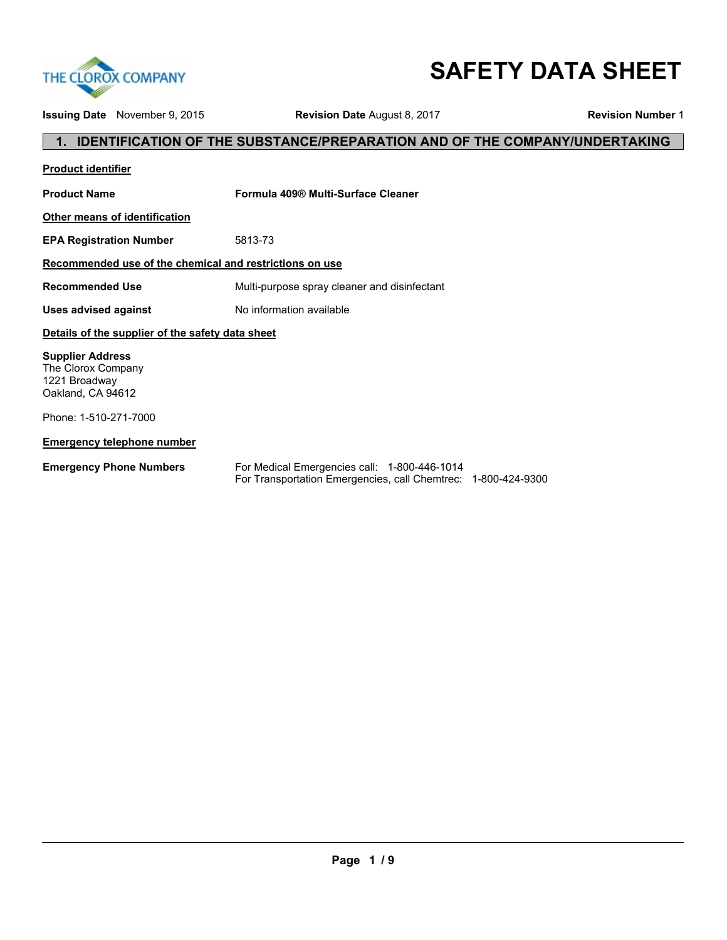

# **SAFETY DATA SHEET**

**Issuing Date** November 9, 2015 **Revision Date** August 8, 2017 **Revision Number** 1

# **1. IDENTIFICATION OF THE SUBSTANCE/PREPARATION AND OF THE COMPANY/UNDERTAKING**

| <b>Product identifier</b>                                                           |                                              |
|-------------------------------------------------------------------------------------|----------------------------------------------|
| <b>Product Name</b>                                                                 | Formula 409® Multi-Surface Cleaner           |
| <b>Other means of identification</b>                                                |                                              |
| <b>EPA Registration Number</b>                                                      | 5813-73                                      |
| Recommended use of the chemical and restrictions on use                             |                                              |
| <b>Recommended Use</b>                                                              | Multi-purpose spray cleaner and disinfectant |
| <b>Uses advised against</b>                                                         | No information available                     |
| Details of the supplier of the safety data sheet                                    |                                              |
| <b>Supplier Address</b><br>The Clorox Company<br>1221 Broadway<br>Oakland, CA 94612 |                                              |
| Phone: 1-510-271-7000                                                               |                                              |
| <b>Emergency telephone number</b>                                                   |                                              |
| <b>Emergency Phone Numbers</b>                                                      | For Medical Emergencies call: 1-800-446-1014 |

For Transportation Emergencies, call Chemtrec: 1-800-424-9300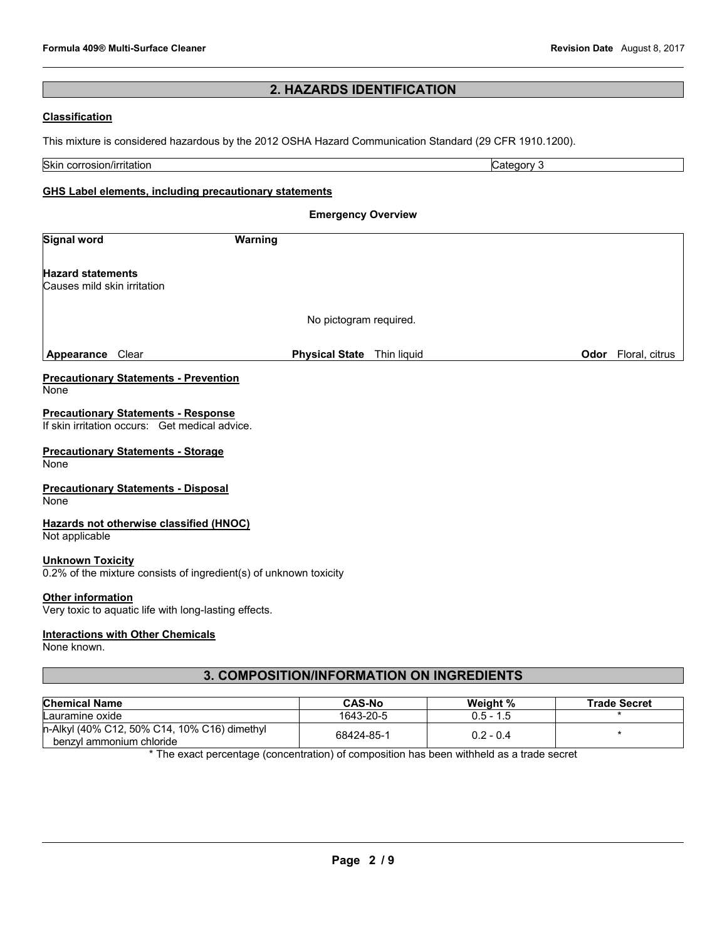# **2. HAZARDS IDENTIFICATION**

## **Classification**

This mixture is considered hazardous by the 2012 OSHA Hazard Communication Standard (29 CFR 1910.1200).

| Skin<br><br>. .<br>rosion/irritation<br>$\sim$<br>. טט | eaorv<br>ъ.<br>.771F |
|--------------------------------------------------------|----------------------|

# **GHS Label elements, including precautionary statements**

| <b>Emergency Overview</b>                                                                    |                        |             |      |                |
|----------------------------------------------------------------------------------------------|------------------------|-------------|------|----------------|
| <b>Signal word</b>                                                                           | Warning                |             |      |                |
| <b>Hazard statements</b><br>Causes mild skin irritation                                      |                        |             |      |                |
|                                                                                              | No pictogram required. |             |      |                |
| Clear<br>Appearance                                                                          | <b>Physical State</b>  | Thin liquid | Odor | Floral, citrus |
| <b>Precautionary Statements - Prevention</b><br>None                                         |                        |             |      |                |
| <b>Precautionary Statements - Response</b><br>If skin irritation occurs: Get medical advice. |                        |             |      |                |
| <b>Precautionary Statements - Storage</b><br>None                                            |                        |             |      |                |
| <b>Precautionary Statements - Disposal</b><br>None                                           |                        |             |      |                |
| Hazards not otherwise classified (HNOC)<br>Not applicable                                    |                        |             |      |                |
| <b>Unknown Toxicity</b><br>0.2% of the mixture consists of ingredient(s) of unknown toxicity |                        |             |      |                |
| <b>Other information</b><br>Very toxic to aquatic life with long-lasting effects.            |                        |             |      |                |

# **Interactions with Other Chemicals**

None known.

# **3. COMPOSITION/INFORMATION ON INGREDIENTS**

| <b>Chemical Name</b>                                                     | <b>CAS-No</b> | Weight %    | <b>Trade Secret</b> |
|--------------------------------------------------------------------------|---------------|-------------|---------------------|
| Lauramine oxide                                                          | 1643-20-5     | $0.5 - 1.5$ |                     |
| n-Alkyl (40% C12, 50% C14, 10% C16) dimethyl<br>benzyl ammonium chloride | 68424-85-1    | $0.2 - 0.4$ |                     |

\* The exact percentage (concentration) of composition has been withheld as a trade secret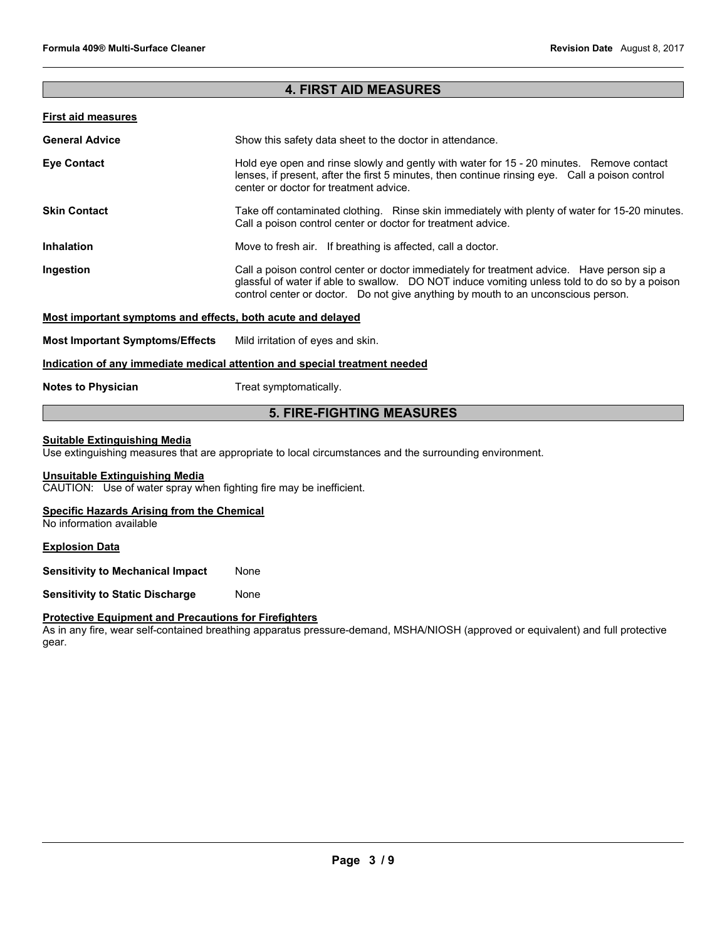# **4. FIRST AID MEASURES**

# **First aid measures**

| <b>General Advice</b> | Show this safety data sheet to the doctor in attendance.                                                                                                                                                                                                                         |  |
|-----------------------|----------------------------------------------------------------------------------------------------------------------------------------------------------------------------------------------------------------------------------------------------------------------------------|--|
| <b>Eye Contact</b>    | Hold eye open and rinse slowly and gently with water for 15 - 20 minutes. Remove contact<br>lenses, if present, after the first 5 minutes, then continue rinsing eye. Call a poison control<br>center or doctor for treatment advice.                                            |  |
| <b>Skin Contact</b>   | Take off contaminated clothing. Rinse skin immediately with plenty of water for 15-20 minutes.<br>Call a poison control center or doctor for treatment advice.                                                                                                                   |  |
| <b>Inhalation</b>     | Move to fresh air. If breathing is affected, call a doctor.                                                                                                                                                                                                                      |  |
| Ingestion             | Call a poison control center or doctor immediately for treatment advice. Have person sip a<br>glassful of water if able to swallow. DO NOT induce vomiting unless told to do so by a poison<br>control center or doctor. Do not give anything by mouth to an unconscious person. |  |

## **Most important symptoms and effects, both acute and delayed**

**Most Important Symptoms/Effects** Mild irritation of eyes and skin.

## **Indication of any immediate medical attention and special treatment needed**

**Notes to Physician**  Treat symptomatically.

# **5. FIRE-FIGHTING MEASURES**

#### **Suitable Extinguishing Media**

Use extinguishing measures that are appropriate to local circumstances and the surrounding environment.

#### **Unsuitable Extinguishing Media**

CAUTION: Use of water spray when fighting fire may be inefficient.

#### **Specific Hazards Arising from the Chemical**

No information available

#### **Explosion Data**

**Sensitivity to Mechanical Impact None** 

**Sensitivity to Static Discharge Mone** 

#### **Protective Equipment and Precautions for Firefighters**

As in any fire, wear self-contained breathing apparatus pressure-demand, MSHA/NIOSH (approved or equivalent) and full protective gear.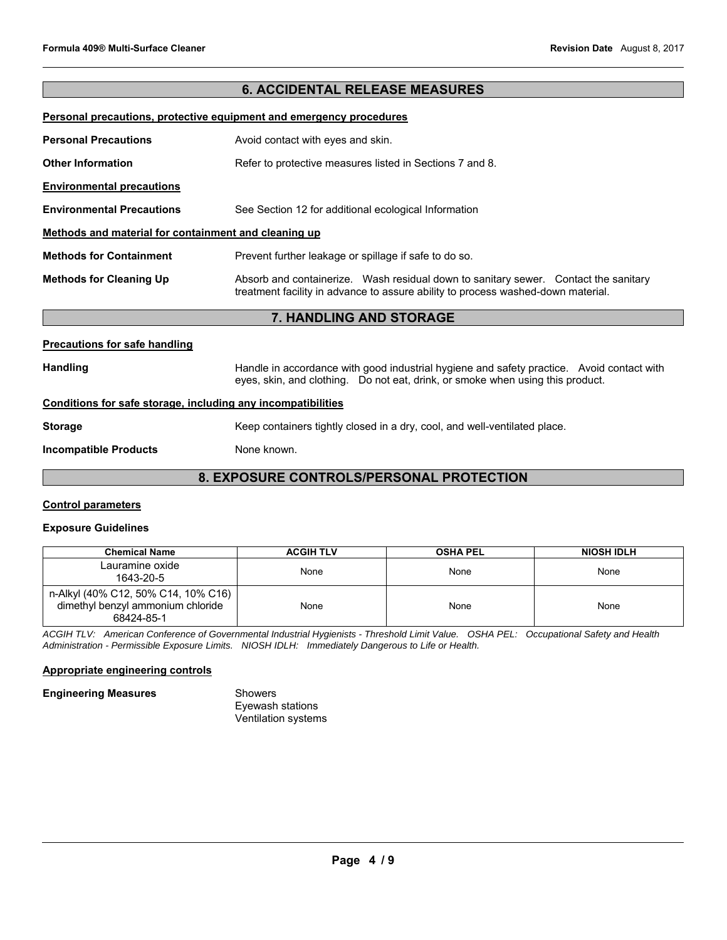# **6. ACCIDENTAL RELEASE MEASURES**

#### **Personal precautions, protective equipment and emergency procedures**

| <b>Personal Precautions</b>                          | Avoid contact with eyes and skin.                                                                                                                                       |  |
|------------------------------------------------------|-------------------------------------------------------------------------------------------------------------------------------------------------------------------------|--|
| <b>Other Information</b>                             | Refer to protective measures listed in Sections 7 and 8.                                                                                                                |  |
| <b>Environmental precautions</b>                     |                                                                                                                                                                         |  |
| <b>Environmental Precautions</b>                     | See Section 12 for additional ecological Information                                                                                                                    |  |
| Methods and material for containment and cleaning up |                                                                                                                                                                         |  |
| <b>Methods for Containment</b>                       | Prevent further leakage or spillage if safe to do so.                                                                                                                   |  |
| <b>Methods for Cleaning Up</b>                       | Absorb and containerize. Wash residual down to sanitary sewer. Contact the sanitary<br>treatment facility in advance to assure ability to process washed-down material. |  |
| <b>7. HANDLING AND STORAGE</b>                       |                                                                                                                                                                         |  |

#### **Precautions for safe handling**

Handling **Handle in accordance with good industrial hygiene and safety practice. Avoid contact with and the Handle in accordance with good industrial hygiene and safety practice. Avoid contact with** eyes, skin, and clothing. Do not eat, drink, or smoke when using this product.

#### **Conditions for safe storage, including any incompatibilities**

**Storage Storage Storage Accompled Example 20 Keep containers tightly closed in a dry, cool, and well-ventilated place.** 

**Incompatible Products None known.** 

# **8. EXPOSURE CONTROLS/PERSONAL PROTECTION**

#### **Control parameters**

#### **Exposure Guidelines**

| <b>Chemical Name</b>                                                                   | <b>ACGIH TLV</b> | <b>OSHA PEL</b> | <b>NIOSH IDLH</b> |
|----------------------------------------------------------------------------------------|------------------|-----------------|-------------------|
| Lauramine oxide<br>1643-20-5                                                           | None             | None            | None              |
| n-Alkyl (40% C12, 50% C14, 10% C16)<br>dimethyl benzyl ammonium chloride<br>68424-85-1 | None             | None            | None              |

*ACGIH TLV: American Conference of Governmental Industrial Hygienists - Threshold Limit Value. OSHA PEL: Occupational Safety and Health Administration - Permissible Exposure Limits. NIOSH IDLH: Immediately Dangerous to Life or Health.* 

#### **Appropriate engineering controls**

#### **Engineering Measures Showers**

Eyewash stations Ventilation systems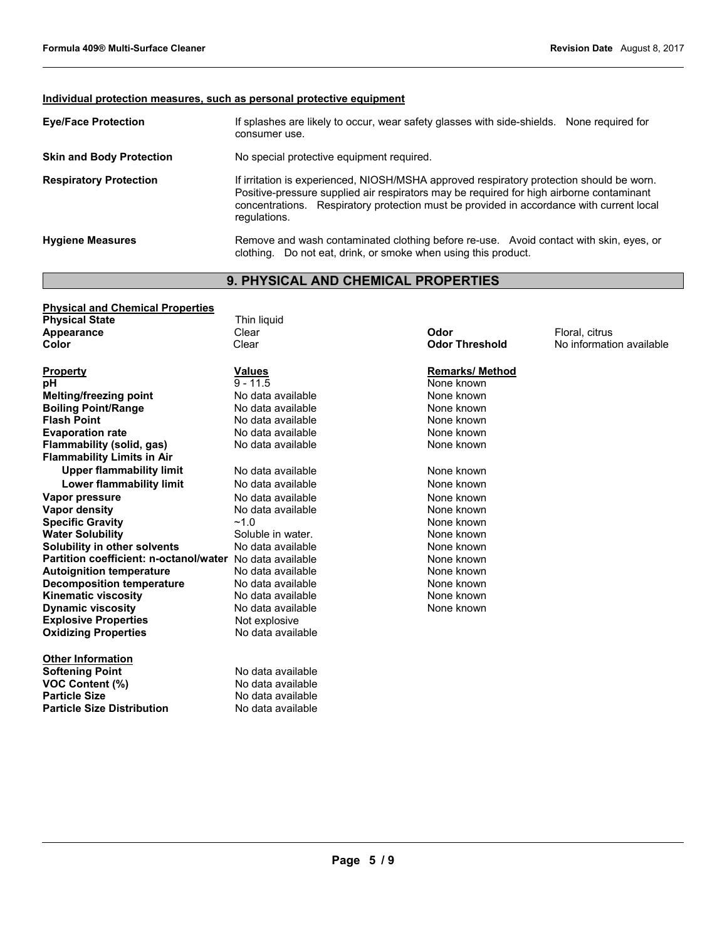# **Individual protection measures, such as personal protective equipment**

| <b>Eye/Face Protection</b>      | If splashes are likely to occur, wear safety glasses with side-shields. None required for<br>consumer use.                                                                                                                                                                                       |
|---------------------------------|--------------------------------------------------------------------------------------------------------------------------------------------------------------------------------------------------------------------------------------------------------------------------------------------------|
| <b>Skin and Body Protection</b> | No special protective equipment required.                                                                                                                                                                                                                                                        |
| <b>Respiratory Protection</b>   | If irritation is experienced, NIOSH/MSHA approved respiratory protection should be worn.<br>Positive-pressure supplied air respirators may be required for high airborne contaminant<br>concentrations. Respiratory protection must be provided in accordance with current local<br>regulations. |
| <b>Hygiene Measures</b>         | Remove and wash contaminated clothing before re-use. Avoid contact with skin, eyes, or<br>clothing. Do not eat, drink, or smoke when using this product.                                                                                                                                         |

# **9. PHYSICAL AND CHEMICAL PROPERTIES**

| <b>Physical and Chemical Properties</b> |                   |                        |                          |
|-----------------------------------------|-------------------|------------------------|--------------------------|
| <b>Physical State</b>                   | Thin liquid       |                        |                          |
| Appearance                              | Clear             | Odor                   | Floral, citrus           |
| Color                                   | Clear             | <b>Odor Threshold</b>  | No information available |
| <b>Property</b>                         | <b>Values</b>     | <b>Remarks/ Method</b> |                          |
| рH                                      | $9 - 11.5$        | None known             |                          |
| <b>Melting/freezing point</b>           | No data available | None known             |                          |
| <b>Boiling Point/Range</b>              | No data available | None known             |                          |
| <b>Flash Point</b>                      | No data available | None known             |                          |
| <b>Evaporation rate</b>                 | No data available | None known             |                          |
| Flammability (solid, gas)               | No data available | None known             |                          |
| <b>Flammability Limits in Air</b>       |                   |                        |                          |
| <b>Upper flammability limit</b>         | No data available | None known             |                          |
| Lower flammability limit                | No data available | None known             |                          |
| Vapor pressure                          | No data available | None known             |                          |
| <b>Vapor density</b>                    | No data available | None known             |                          |
| <b>Specific Gravity</b>                 | ~1.0              | None known             |                          |
| <b>Water Solubility</b>                 | Soluble in water. | None known             |                          |
| Solubility in other solvents            | No data available | None known             |                          |
| Partition coefficient: n-octanol/water  | No data available | None known             |                          |
| <b>Autoignition temperature</b>         | No data available | None known             |                          |
| <b>Decomposition temperature</b>        | No data available | None known             |                          |
| <b>Kinematic viscosity</b>              | No data available | None known             |                          |
| <b>Dynamic viscosity</b>                | No data available | None known             |                          |
| <b>Explosive Properties</b>             | Not explosive     |                        |                          |
| <b>Oxidizing Properties</b>             | No data available |                        |                          |
| <b>Other Information</b>                |                   |                        |                          |
| <b>Softening Point</b>                  | No data available |                        |                          |
| <b>VOC Content (%)</b>                  | No data available |                        |                          |
| <b>Particle Size</b>                    | No data available |                        |                          |
| <b>Particle Size Distribution</b>       | No data available |                        |                          |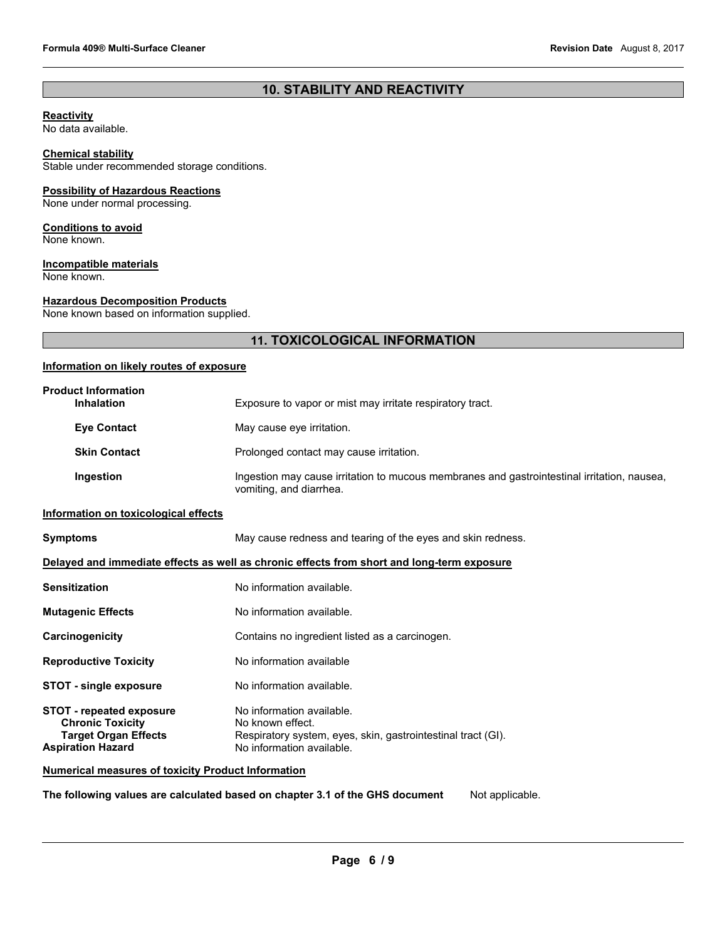# **10. STABILITY AND REACTIVITY**

## **Reactivity**

No data available.

# **Chemical stability**

Stable under recommended storage conditions.

# **Possibility of Hazardous Reactions**

None under normal processing.

## **Conditions to avoid**

None known.

# **Incompatible materials**

None known.

# **Hazardous Decomposition Products**

None known based on information supplied.

# **11. TOXICOLOGICAL INFORMATION**

# **Information on likely routes of exposure**

| <b>Product Information</b><br>Inhalation                                                                              | Exposure to vapor or mist may irritate respiratory tract.                                                                                  |
|-----------------------------------------------------------------------------------------------------------------------|--------------------------------------------------------------------------------------------------------------------------------------------|
| <b>Eye Contact</b>                                                                                                    | May cause eye irritation.                                                                                                                  |
| <b>Skin Contact</b>                                                                                                   | Prolonged contact may cause irritation.                                                                                                    |
| Ingestion                                                                                                             | Ingestion may cause irritation to mucous membranes and gastrointestinal irritation, nausea,<br>vomiting, and diarrhea.                     |
| Information on toxicological effects                                                                                  |                                                                                                                                            |
| <b>Symptoms</b>                                                                                                       | May cause redness and tearing of the eyes and skin redness.                                                                                |
|                                                                                                                       | Delayed and immediate effects as well as chronic effects from short and long-term exposure                                                 |
| <b>Sensitization</b>                                                                                                  | No information available.                                                                                                                  |
| <b>Mutagenic Effects</b>                                                                                              | No information available.                                                                                                                  |
| Carcinogenicity                                                                                                       | Contains no ingredient listed as a carcinogen.                                                                                             |
| <b>Reproductive Toxicity</b>                                                                                          | No information available                                                                                                                   |
| <b>STOT - single exposure</b>                                                                                         | No information available.                                                                                                                  |
| <b>STOT - repeated exposure</b><br><b>Chronic Toxicity</b><br><b>Target Organ Effects</b><br><b>Aspiration Hazard</b> | No information available.<br>No known effect.<br>Respiratory system, eyes, skin, gastrointestinal tract (GI).<br>No information available. |
| <b>Numerical measures of toxicity Product Information</b>                                                             |                                                                                                                                            |

**The following values are calculated based on chapter 3.1 of the GHS document** Not applicable.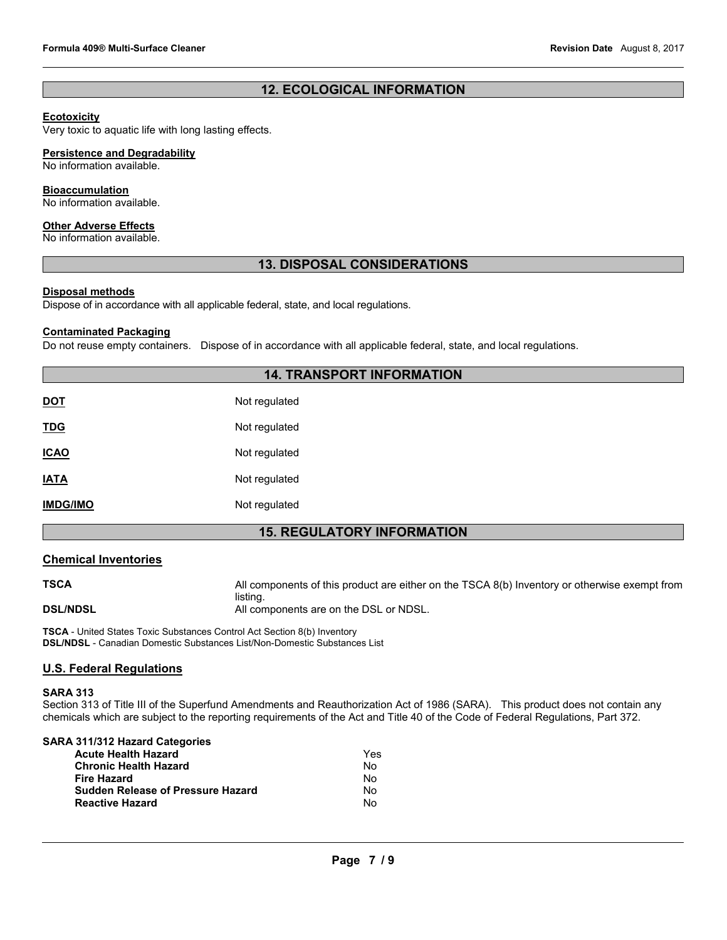# **12. ECOLOGICAL INFORMATION**

# **Ecotoxicity**

Very toxic to aquatic life with long lasting effects.

# **Persistence and Degradability**

No information available.

## **Bioaccumulation**

No information available.

## **Other Adverse Effects**

No information available.

# **13. DISPOSAL CONSIDERATIONS**

# **Disposal methods**

Dispose of in accordance with all applicable federal, state, and local regulations.

#### **Contaminated Packaging**

Do not reuse empty containers. Dispose of in accordance with all applicable federal, state, and local regulations.

# **14. TRANSPORT INFORMATION**

| <b>DOT</b>      | Not regulated |
|-----------------|---------------|
| <u>TDG</u>      | Not regulated |
| <b>ICAO</b>     | Not regulated |
| <b>IATA</b>     | Not regulated |
| <b>IMDG/IMO</b> | Not regulated |

# **15. REGULATORY INFORMATION**

# **Chemical Inventories**

**TSCA** All components of this product are either on the TSCA 8(b) Inventory or otherwise exempt from listing. **DSL/NDSL DSL/NDSL All components are on the DSL or NDSL.** 

**TSCA** - United States Toxic Substances Control Act Section 8(b) Inventory **DSL/NDSL** - Canadian Domestic Substances List/Non-Domestic Substances List

# **U.S. Federal Regulations**

#### **SARA 313**

Section 313 of Title III of the Superfund Amendments and Reauthorization Act of 1986 (SARA). This product does not contain any chemicals which are subject to the reporting requirements of the Act and Title 40 of the Code of Federal Regulations, Part 372.

| SARA 311/312 Hazard Categories           |     |
|------------------------------------------|-----|
| <b>Acute Health Hazard</b>               | Yes |
| <b>Chronic Health Hazard</b>             | No. |
| <b>Fire Hazard</b>                       | No  |
| <b>Sudden Release of Pressure Hazard</b> | No  |
| <b>Reactive Hazard</b>                   | No  |
|                                          |     |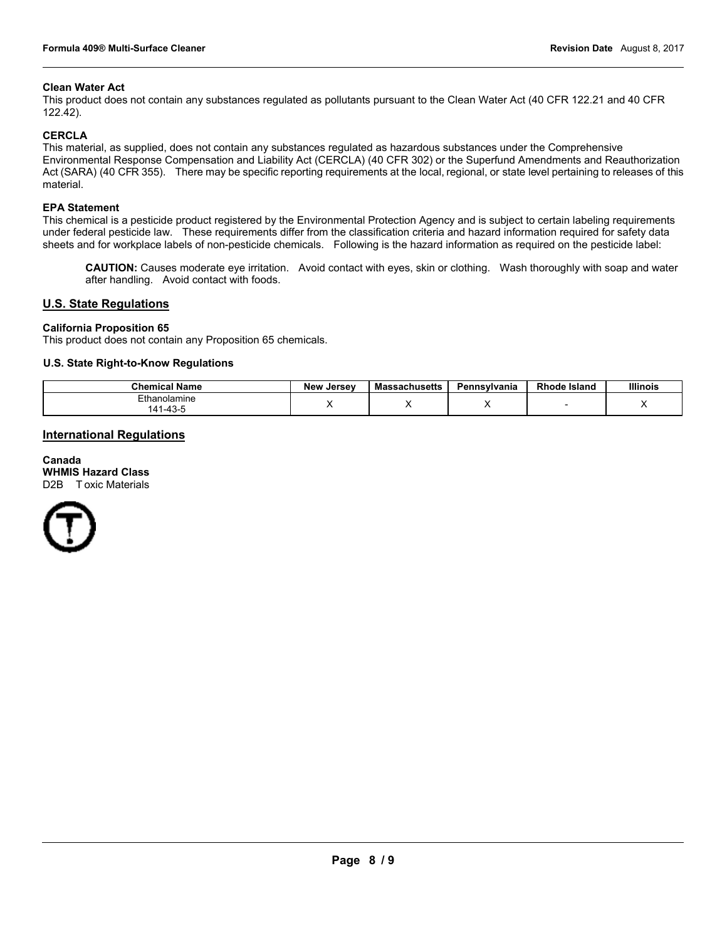#### **Clean Water Act**

This product does not contain any substances regulated as pollutants pursuant to the Clean Water Act (40 CFR 122.21 and 40 CFR 122.42).

#### **CERCLA**

This material, as supplied, does not contain any substances regulated as hazardous substances under the Comprehensive Environmental Response Compensation and Liability Act (CERCLA) (40 CFR 302) or the Superfund Amendments and Reauthorization Act (SARA) (40 CFR 355). There may be specific reporting requirements at the local, regional, or state level pertaining to releases of this material.

#### **EPA Statement**

This chemical is a pesticide product registered by the Environmental Protection Agency and is subject to certain labeling requirements under federal pesticide law. These requirements differ from the classification criteria and hazard information required for safety data sheets and for workplace labels of non-pesticide chemicals. Following is the hazard information as required on the pesticide label:

**CAUTION:** Causes moderate eye irritation. Avoid contact with eyes, skin or clothing. Wash thoroughly with soap and water after handling. Avoid contact with foods.

#### **U.S. State Regulations**

#### **California Proposition 65**

This product does not contain any Proposition 65 chemicals.

#### **U.S. State Right-to-Know Regulations**

| <b>Chemical Name</b>                        | . Jersev<br><b>New</b> | <b>Massachusetts</b> | Pennsylvania | <b>Rhode Island</b> | <b>Illinois</b> |
|---------------------------------------------|------------------------|----------------------|--------------|---------------------|-----------------|
| Ethanolamine<br>$-4^{\circ}$<br>$\Lambda$ 1 |                        |                      | . .          |                     | $\cdot$         |

## **International Regulations**

**Canada WHMIS Hazard Class** D2B Toxic Materials